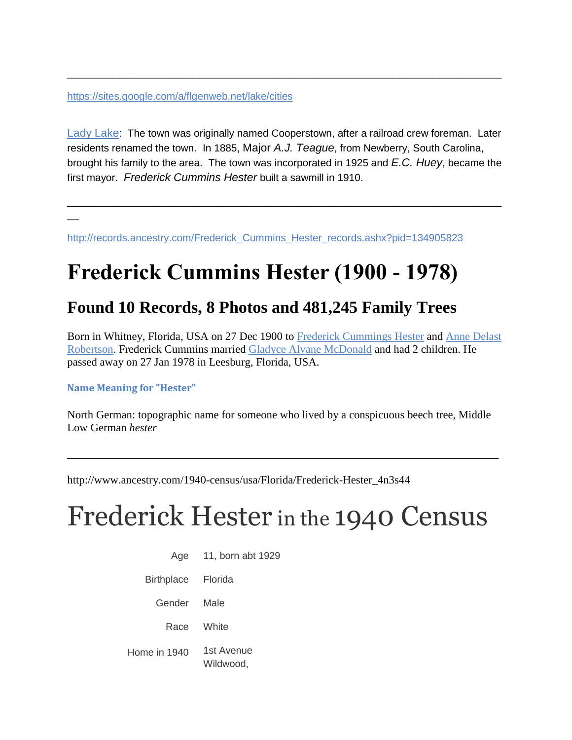<https://sites.google.com/a/flgenweb.net/lake/cities>

[Lady Lake](http://www.ladylake.org/): The town was originally named Cooperstown, after a railroad crew foreman. Later residents renamed the town. In 1885, Major *A.J. Teague*, from Newberry, South Carolina, brought his family to the area. The town was incorporated in 1925 and *E.C. Huey*, became the first mayor. *Frederick Cummins Hester* built a sawmill in 1910.

\_\_\_\_\_\_\_\_\_\_\_\_\_\_\_\_\_\_\_\_\_\_\_\_\_\_\_\_\_\_\_\_\_\_\_\_\_\_\_\_\_\_\_\_\_\_\_\_\_\_\_\_\_\_\_\_\_\_\_\_\_\_\_\_\_\_\_\_\_\_\_\_\_\_\_\_

\_\_\_\_\_\_\_\_\_\_\_\_\_\_\_\_\_\_\_\_\_\_\_\_\_\_\_\_\_\_\_\_\_\_\_\_\_\_\_\_\_\_\_\_\_\_\_\_\_\_\_\_\_\_\_\_\_\_\_\_\_\_\_\_\_\_\_\_\_\_\_\_\_\_\_\_

 $\overline{a}$ 

[http://records.ancestry.com/Frederick\\_Cummins\\_Hester\\_records.ashx?pid=134905823](http://records.ancestry.com/Frederick_Cummins_Hester_records.ashx?pid=134905823)

## **Frederick Cummins Hester (1900 - 1978)**

### **Found 10 Records, 8 Photos and 481,245 Family Trees**

Born in Whitney, Florida, USA on 27 Dec 1900 to [Frederick Cummings Hester](http://records.ancestry.com/Frederick_Cummings_Hester_records.ashx?pid=175867379) and [Anne Delast](http://records.ancestry.com/Anne_Delast_Robertson_records.ashx?pid=144593720)  [Robertson.](http://records.ancestry.com/Anne_Delast_Robertson_records.ashx?pid=144593720) Frederick Cummins married [Gladyce Alvane McDonald](http://records.ancestry.com/Gladyce_Alvane_McDonald_records.ashx?pid=115577040) and had 2 children. He passed away on 27 Jan 1978 in Leesburg, Florida, USA.

#### **Name Meaning for "Hester"**

North German: topographic name for someone who lived by a conspicuous beech tree, Middle Low German *hester*

\_\_\_\_\_\_\_\_\_\_\_\_\_\_\_\_\_\_\_\_\_\_\_\_\_\_\_\_\_\_\_\_\_\_\_\_\_\_\_\_\_\_\_\_\_\_\_\_\_\_\_\_\_\_\_\_\_\_\_\_\_\_\_\_\_\_\_\_\_\_\_\_\_\_\_\_\_

http://www.ancestry.com/1940-census/usa/Florida/Frederick-Hester\_4n3s44

# Frederick Hester in the 1940 Census

| Age                | 11, born abt 1929       |
|--------------------|-------------------------|
| Birthplace Florida |                         |
| Gender             | Male                    |
| Race               | White                   |
| Home in 1940       | 1st Avenue<br>Wildwood, |